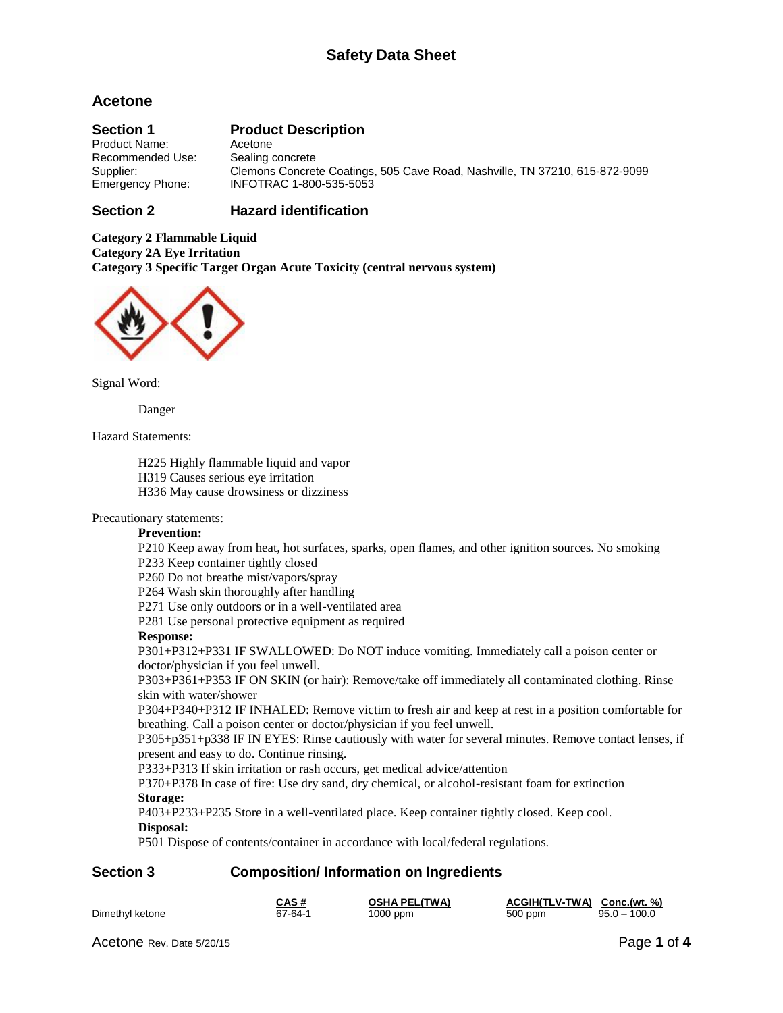# **Acetone**

# **Section 1 Product Description**

Product Name: Acetone Recommended Use: Sealing concrete Supplier: Clemons Concrete Coatings, 505 Cave Road, Nashville, TN 37210, 615-872-9099<br>Emergency Phone: INFOTRAC 1-800-535-5053 Emergency Phone: INFOTRAC 1-800-535-5053

### **Section 2 Hazard identification**

**Category 2 Flammable Liquid Category 2A Eye Irritation Category 3 Specific Target Organ Acute Toxicity (central nervous system)**



Signal Word:

Danger

Hazard Statements:

H225 Highly flammable liquid and vapor

H319 Causes serious eye irritation

H336 May cause drowsiness or dizziness

Precautionary statements:

#### **Prevention:**

P210 Keep away from heat, hot surfaces, sparks, open flames, and other ignition sources. No smoking P233 Keep container tightly closed

P260 Do not breathe mist/vapors/spray

P264 Wash skin thoroughly after handling

P271 Use only outdoors or in a well-ventilated area

P281 Use personal protective equipment as required

#### **Response:**

P301+P312+P331 IF SWALLOWED: Do NOT induce vomiting. Immediately call a poison center or doctor/physician if you feel unwell.

P303+P361+P353 IF ON SKIN (or hair): Remove/take off immediately all contaminated clothing. Rinse skin with water/shower

P304+P340+P312 IF INHALED: Remove victim to fresh air and keep at rest in a position comfortable for breathing. Call a poison center or doctor/physician if you feel unwell.

P305+p351+p338 IF IN EYES: Rinse cautiously with water for several minutes. Remove contact lenses, if present and easy to do. Continue rinsing.

P333+P313 If skin irritation or rash occurs, get medical advice/attention

P370+P378 In case of fire: Use dry sand, dry chemical, or alcohol-resistant foam for extinction **Storage:**

P403+P233+P235 Store in a well-ventilated place. Keep container tightly closed. Keep cool.

#### **Disposal:**

P501 Dispose of contents/container in accordance with local/federal regulations.

## **Section 3 Composition/ Information on Ingredients**

|                 | CAS #   | <b>OSHA PEL(TWA)</b> | ACGIH(TLV-TWA) Conc.(wt. %) |                |
|-----------------|---------|----------------------|-----------------------------|----------------|
| Dimethyl ketone | 67-64-1 | 1000 ppm             | 500 ppm                     | $95.0 - 100.0$ |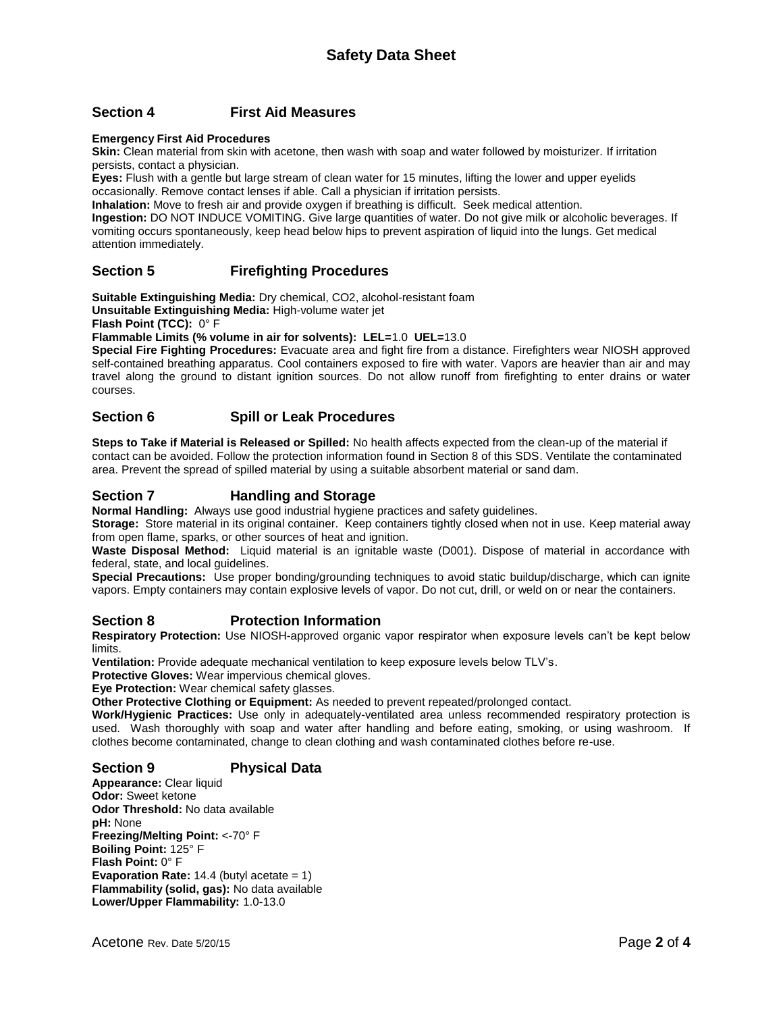## **Section 4 First Aid Measures**

#### **Emergency First Aid Procedures**

**Skin:** Clean material from skin with acetone, then wash with soap and water followed by moisturizer. If irritation persists, contact a physician.

**Eyes:** Flush with a gentle but large stream of clean water for 15 minutes, lifting the lower and upper eyelids occasionally. Remove contact lenses if able. Call a physician if irritation persists.

**Inhalation:** Move to fresh air and provide oxygen if breathing is difficult. Seek medical attention.

**Ingestion:** DO NOT INDUCE VOMITING. Give large quantities of water. Do not give milk or alcoholic beverages. If vomiting occurs spontaneously, keep head below hips to prevent aspiration of liquid into the lungs. Get medical attention immediately.

## **Section 5 Firefighting Procedures**

**Suitable Extinguishing Media:** Dry chemical, CO2, alcohol-resistant foam

**Unsuitable Extinguishing Media:** High-volume water jet

**Flash Point (TCC):** 0° F

**Flammable Limits (% volume in air for solvents): LEL=**1.0 **UEL=**13.0

**Special Fire Fighting Procedures:** Evacuate area and fight fire from a distance. Firefighters wear NIOSH approved self-contained breathing apparatus. Cool containers exposed to fire with water. Vapors are heavier than air and may travel along the ground to distant ignition sources. Do not allow runoff from firefighting to enter drains or water courses.

### **Section 6 Spill or Leak Procedures**

**Steps to Take if Material is Released or Spilled:** No health affects expected from the clean-up of the material if contact can be avoided. Follow the protection information found in Section 8 of this SDS. Ventilate the contaminated area. Prevent the spread of spilled material by using a suitable absorbent material or sand dam.

# **Section 7 Handling and Storage**

**Normal Handling:** Always use good industrial hygiene practices and safety guidelines.

**Storage:** Store material in its original container. Keep containers tightly closed when not in use. Keep material away from open flame, sparks, or other sources of heat and ignition.

**Waste Disposal Method:** Liquid material is an ignitable waste (D001). Dispose of material in accordance with federal, state, and local guidelines.

**Special Precautions:** Use proper bonding/grounding techniques to avoid static buildup/discharge, which can ignite vapors. Empty containers may contain explosive levels of vapor. Do not cut, drill, or weld on or near the containers.

## **Section 8 Protection Information**

**Respiratory Protection:** Use NIOSH-approved organic vapor respirator when exposure levels can't be kept below limits.

**Ventilation:** Provide adequate mechanical ventilation to keep exposure levels below TLV's.

**Protective Gloves:** Wear impervious chemical gloves.

**Eye Protection:** Wear chemical safety glasses.

**Other Protective Clothing or Equipment:** As needed to prevent repeated/prolonged contact.

**Work/Hygienic Practices:** Use only in adequately-ventilated area unless recommended respiratory protection is used. Wash thoroughly with soap and water after handling and before eating, smoking, or using washroom. If clothes become contaminated, change to clean clothing and wash contaminated clothes before re-use.

## **Section 9 Physical Data**

**Appearance:** Clear liquid **Odor:** Sweet ketone **Odor Threshold:** No data available **pH:** None **Freezing/Melting Point:** <-70° F **Boiling Point:** 125° F **Flash Point:** 0° F **Evaporation Rate:** 14.4 (butyl acetate = 1) **Flammability (solid, gas):** No data available **Lower/Upper Flammability:** 1.0-13.0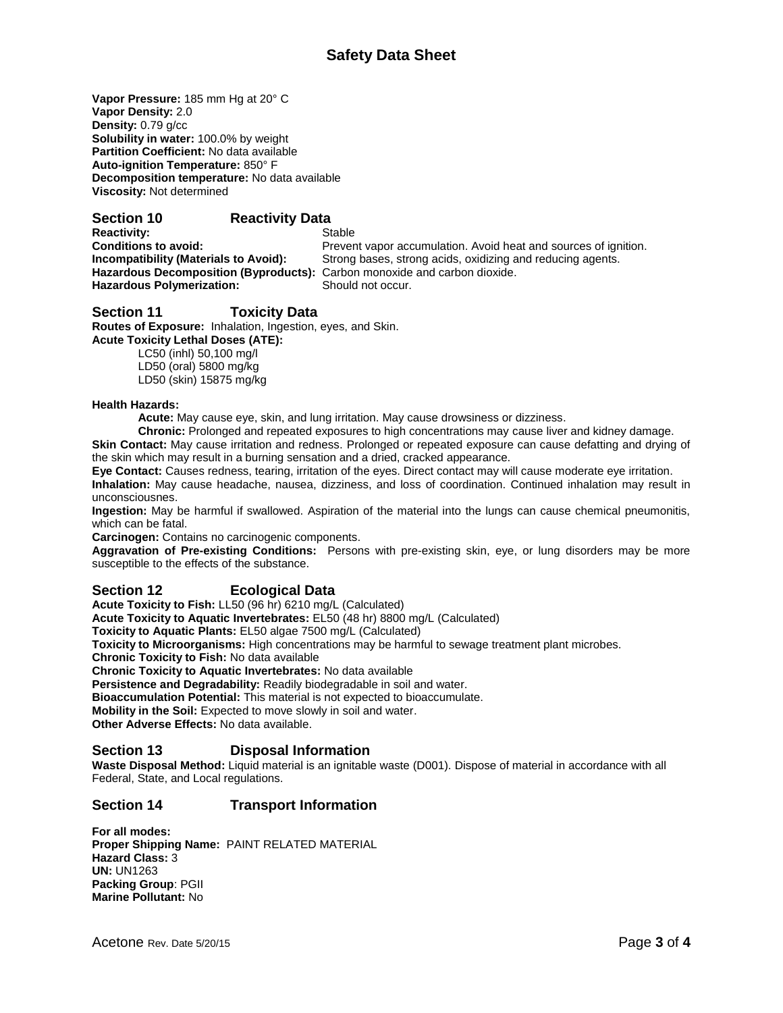# **Safety Data Sheet**

**Vapor Pressure:** 185 mm Hg at 20° C **Vapor Density:** 2.0 **Density:** 0.79 g/cc **Solubility in water:** 100.0% by weight **Partition Coefficient:** No data available **Auto-ignition Temperature:** 850° F **Decomposition temperature:** No data available **Viscosity:** Not determined

### **Section 10 Reactivity Data**

**Reactivity:** Stable **Hazardous Decomposition (Byproducts):** Carbon monoxide and carbon dioxide. **Hazardous Polymerization:** Should not occur.

**Conditions to avoid:** Prevent vapor accumulation. Avoid heat and sources of ignition. **Incompatibility (Materials to Avoid):** Strong bases, strong acids, oxidizing and reducing agents.

## **Section 11 Toxicity Data**

**Routes of Exposure:** Inhalation, Ingestion, eyes, and Skin. **Acute Toxicity Lethal Doses (ATE):**

LC50 (inhl) 50,100 mg/l LD50 (oral) 5800 mg/kg LD50 (skin) 15875 mg/kg

#### **Health Hazards:**

**Acute:** May cause eye, skin, and lung irritation. May cause drowsiness or dizziness.

**Chronic:** Prolonged and repeated exposures to high concentrations may cause liver and kidney damage. **Skin Contact:** May cause irritation and redness. Prolonged or repeated exposure can cause defatting and drying of the skin which may result in a burning sensation and a dried, cracked appearance.

**Eye Contact:** Causes redness, tearing, irritation of the eyes. Direct contact may will cause moderate eye irritation. **Inhalation:** May cause headache, nausea, dizziness, and loss of coordination. Continued inhalation may result in unconsciousnes.

**Ingestion:** May be harmful if swallowed. Aspiration of the material into the lungs can cause chemical pneumonitis, which can be fatal.

**Carcinogen:** Contains no carcinogenic components.

**Aggravation of Pre-existing Conditions:** Persons with pre-existing skin, eye, or lung disorders may be more susceptible to the effects of the substance.

#### **Section 12 Ecological Data**

**Acute Toxicity to Fish:** LL50 (96 hr) 6210 mg/L (Calculated)

**Acute Toxicity to Aquatic Invertebrates:** EL50 (48 hr) 8800 mg/L (Calculated)

**Toxicity to Aquatic Plants:** EL50 algae 7500 mg/L (Calculated)

**Toxicity to Microorganisms:** High concentrations may be harmful to sewage treatment plant microbes.

**Chronic Toxicity to Fish:** No data available

**Chronic Toxicity to Aquatic Invertebrates:** No data available

**Persistence and Degradability:** Readily biodegradable in soil and water.

**Bioaccumulation Potential:** This material is not expected to bioaccumulate.

**Mobility in the Soil:** Expected to move slowly in soil and water.

**Other Adverse Effects:** No data available.

#### **Section 13 Disposal Information**

**Waste Disposal Method:** Liquid material is an ignitable waste (D001). Dispose of material in accordance with all Federal, State, and Local regulations.

## **Section 14 Transport Information**

**For all modes: Proper Shipping Name:** PAINT RELATED MATERIAL **Hazard Class:** 3 **UN:** UN1263 **Packing Group**: PGII **Marine Pollutant:** No